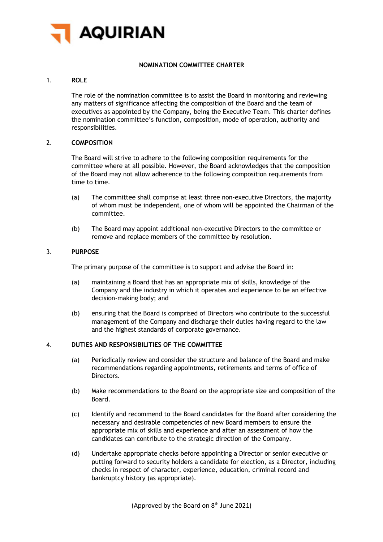

# **NOMINATION COMMITTEE CHARTER**

### 1. **ROLE**

The role of the nomination committee is to assist the Board in monitoring and reviewing any matters of significance affecting the composition of the Board and the team of executives as appointed by the Company, being the Executive Team. This charter defines the nomination committee's function, composition, mode of operation, authority and responsibilities.

#### 2. **COMPOSITION**

The Board will strive to adhere to the following composition requirements for the committee where at all possible. However, the Board acknowledges that the composition of the Board may not allow adherence to the following composition requirements from time to time.

- (a) The committee shall comprise at least three non-executive Directors, the majority of whom must be independent, one of whom will be appointed the Chairman of the committee.
- (b) The Board may appoint additional non-executive Directors to the committee or remove and replace members of the committee by resolution.

#### 3. **PURPOSE**

The primary purpose of the committee is to support and advise the Board in:

- (a) maintaining a Board that has an appropriate mix of skills, knowledge of the Company and the industry in which it operates and experience to be an effective decision-making body; and
- (b) ensuring that the Board is comprised of Directors who contribute to the successful management of the Company and discharge their duties having regard to the law and the highest standards of corporate governance.

### 4. **DUTIES AND RESPONSIBILITIES OF THE COMMITTEE**

- (a) Periodically review and consider the structure and balance of the Board and make recommendations regarding appointments, retirements and terms of office of Directors.
- (b) Make recommendations to the Board on the appropriate size and composition of the Board.
- (c) Identify and recommend to the Board candidates for the Board after considering the necessary and desirable competencies of new Board members to ensure the appropriate mix of skills and experience and after an assessment of how the candidates can contribute to the strategic direction of the Company.
- (d) Undertake appropriate checks before appointing a Director or senior executive or putting forward to security holders a candidate for election, as a Director, including checks in respect of character, experience, education, criminal record and bankruptcy history (as appropriate).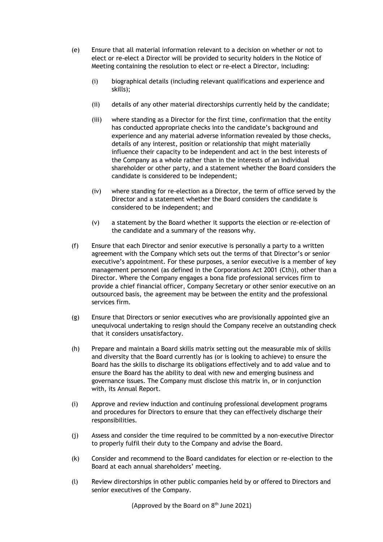- (e) Ensure that all material information relevant to a decision on whether or not to elect or re-elect a Director will be provided to security holders in the Notice of Meeting containing the resolution to elect or re-elect a Director, including:
	- (i) biographical details (including relevant qualifications and experience and skills);
	- (ii) details of any other material directorships currently held by the candidate;
	- (iii) where standing as a Director for the first time, confirmation that the entity has conducted appropriate checks into the candidate's background and experience and any material adverse information revealed by those checks, details of any interest, position or relationship that might materially influence their capacity to be independent and act in the best interests of the Company as a whole rather than in the interests of an individual shareholder or other party, and a statement whether the Board considers the candidate is considered to be independent;
	- (iv) where standing for re-election as a Director, the term of office served by the Director and a statement whether the Board considers the candidate is considered to be independent; and
	- (v) a statement by the Board whether it supports the election or re-election of the candidate and a summary of the reasons why.
- (f) Ensure that each Director and senior executive is personally a party to a written agreement with the Company which sets out the terms of that Director's or senior executive's appointment. For these purposes, a senior executive is a member of key management personnel (as defined in the Corporations Act 2001 (Cth)), other than a Director. Where the Company engages a bona fide professional services firm to provide a chief financial officer, Company Secretary or other senior executive on an outsourced basis, the agreement may be between the entity and the professional services firm.
- (g) Ensure that Directors or senior executives who are provisionally appointed give an unequivocal undertaking to resign should the Company receive an outstanding check that it considers unsatisfactory.
- (h) Prepare and maintain a Board skills matrix setting out the measurable mix of skills and diversity that the Board currently has (or is looking to achieve) to ensure the Board has the skills to discharge its obligations effectively and to add value and to ensure the Board has the ability to deal with new and emerging business and governance issues. The Company must disclose this matrix in, or in conjunction with, its Annual Report.
- (i) Approve and review induction and continuing professional development programs and procedures for Directors to ensure that they can effectively discharge their responsibilities.
- (j) Assess and consider the time required to be committed by a non-executive Director to properly fulfil their duty to the Company and advise the Board.
- (k) Consider and recommend to the Board candidates for election or re-election to the Board at each annual shareholders' meeting.
- (l) Review directorships in other public companies held by or offered to Directors and senior executives of the Company.

(Approved by the Board on  $8<sup>th</sup>$  June 2021)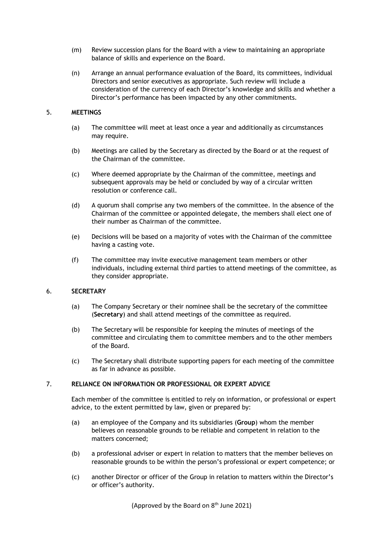- (m) Review succession plans for the Board with a view to maintaining an appropriate balance of skills and experience on the Board.
- (n) Arrange an annual performance evaluation of the Board, its committees, individual Directors and senior executives as appropriate. Such review will include a consideration of the currency of each Director's knowledge and skills and whether a Director's performance has been impacted by any other commitments.

## 5. **MEETINGS**

- (a) The committee will meet at least once a year and additionally as circumstances may require.
- (b) Meetings are called by the Secretary as directed by the Board or at the request of the Chairman of the committee.
- (c) Where deemed appropriate by the Chairman of the committee, meetings and subsequent approvals may be held or concluded by way of a circular written resolution or conference call.
- (d) A quorum shall comprise any two members of the committee. In the absence of the Chairman of the committee or appointed delegate, the members shall elect one of their number as Chairman of the committee.
- (e) Decisions will be based on a majority of votes with the Chairman of the committee having a casting vote.
- (f) The committee may invite executive management team members or other individuals, including external third parties to attend meetings of the committee, as they consider appropriate.

### 6. **SECRETARY**

- (a) The Company Secretary or their nominee shall be the secretary of the committee (**Secretary**) and shall attend meetings of the committee as required.
- (b) The Secretary will be responsible for keeping the minutes of meetings of the committee and circulating them to committee members and to the other members of the Board.
- (c) The Secretary shall distribute supporting papers for each meeting of the committee as far in advance as possible.

## 7. **RELIANCE ON INFORMATION OR PROFESSIONAL OR EXPERT ADVICE**

Each member of the committee is entitled to rely on information, or professional or expert advice, to the extent permitted by law, given or prepared by:

- (a) an employee of the Company and its subsidiaries (**Group**) whom the member believes on reasonable grounds to be reliable and competent in relation to the matters concerned;
- (b) a professional adviser or expert in relation to matters that the member believes on reasonable grounds to be within the person's professional or expert competence; or
- (c) another Director or officer of the Group in relation to matters within the Director's or officer's authority.